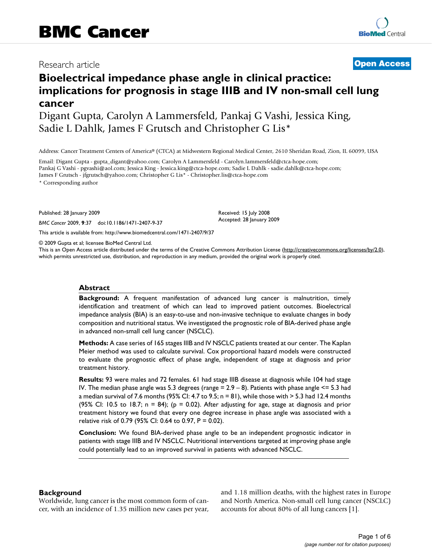## Research article **[Open Access](http://www.biomedcentral.com/info/about/charter/)**

# **Bioelectrical impedance phase angle in clinical practice: implications for prognosis in stage IIIB and IV non-small cell lung cancer**

Digant Gupta, Carolyn A Lammersfeld, Pankaj G Vashi, Jessica King, Sadie L Dahlk, James F Grutsch and Christopher G Lis\*

Address: Cancer Treatment Centers of America® (CTCA) at Midwestern Regional Medical Center, 2610 Sheridan Road, Zion, IL 60099, USA

Email: Digant Gupta - gupta\_digant@yahoo.com; Carolyn A Lammersfeld - Carolyn.lammersfeld@ctca-hope.com; Pankaj G Vashi - pgvashi@aol.com; Jessica King - Jessica.king@ctca-hope.com; Sadie L Dahlk - sadie.dahlk@ctca-hope.com; James F Grutsch - jfgrutsch@yahoo.com; Christopher G Lis\* - Christopher.lis@ctca-hope.com

\* Corresponding author

Published: 28 January 2009

*BMC Cancer* 2009, **9**:37 doi:10.1186/1471-2407-9-37

[This article is available from: http://www.biomedcentral.com/1471-2407/9/37](http://www.biomedcentral.com/1471-2407/9/37)

© 2009 Gupta et al; licensee BioMed Central Ltd.

This is an Open Access article distributed under the terms of the Creative Commons Attribution License [\(http://creativecommons.org/licenses/by/2.0\)](http://creativecommons.org/licenses/by/2.0), which permits unrestricted use, distribution, and reproduction in any medium, provided the original work is properly cited.

Received: 15 July 2008 Accepted: 28 January 2009

#### **Abstract**

**Background:** A frequent manifestation of advanced lung cancer is malnutrition, timely identification and treatment of which can lead to improved patient outcomes. Bioelectrical impedance analysis (BIA) is an easy-to-use and non-invasive technique to evaluate changes in body composition and nutritional status. We investigated the prognostic role of BIA-derived phase angle in advanced non-small cell lung cancer (NSCLC).

**Methods:** A case series of 165 stages IIIB and IV NSCLC patients treated at our center. The Kaplan Meier method was used to calculate survival. Cox proportional hazard models were constructed to evaluate the prognostic effect of phase angle, independent of stage at diagnosis and prior treatment history.

**Results:** 93 were males and 72 females. 61 had stage IIIB disease at diagnosis while 104 had stage IV. The median phase angle was 5.3 degrees (range  $= 2.9 - 8$ ). Patients with phase angle  $\le 5.3$  had a median survival of 7.6 months (95% CI: 4.7 to 9.5; n = 81), while those with > 5.3 had 12.4 months (95% CI: 10.5 to 18.7;  $n = 84$ ); ( $p = 0.02$ ). After adjusting for age, stage at diagnosis and prior treatment history we found that every one degree increase in phase angle was associated with a relative risk of 0.79 (95% CI: 0.64 to 0.97, P = 0.02).

**Conclusion:** We found BIA-derived phase angle to be an independent prognostic indicator in patients with stage IIIB and IV NSCLC. Nutritional interventions targeted at improving phase angle could potentially lead to an improved survival in patients with advanced NSCLC.

#### **Background**

Worldwide, lung cancer is the most common form of cancer, with an incidence of 1.35 million new cases per year, and 1.18 million deaths, with the highest rates in Europe and North America. Non-small cell lung cancer (NSCLC) accounts for about 80% of all lung cancers [1].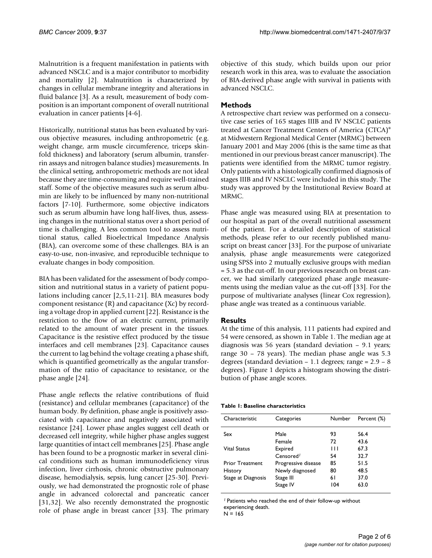Malnutrition is a frequent manifestation in patients with advanced NSCLC and is a major contributor to morbidity and mortality [2]. Malnutrition is characterized by changes in cellular membrane integrity and alterations in fluid balance [3]. As a result, measurement of body composition is an important component of overall nutritional evaluation in cancer patients [4-6].

Historically, nutritional status has been evaluated by various objective measures, including anthropometric (e.g. weight change, arm muscle circumference, triceps skinfold thickness) and laboratory (serum albumin, transferrin assays and nitrogen balance studies) measurements. In the clinical setting, anthropometric methods are not ideal because they are time-consuming and require well-trained staff. Some of the objective measures such as serum albumin are likely to be influenced by many non-nutritional factors [7-10]. Furthermore, some objective indicators such as serum albumin have long half-lives, thus, assessing changes in the nutritional status over a short period of time is challenging. A less common tool to assess nutritional status, called Bioelectrical Impedance Analysis (BIA), can overcome some of these challenges. BIA is an easy-to-use, non-invasive, and reproducible technique to evaluate changes in body composition.

BIA has been validated for the assessment of body composition and nutritional status in a variety of patient populations including cancer [2,5,11-21]. BIA measures body component resistance (R) and capacitance (Xc) by recording a voltage drop in applied current [22]. Resistance is the restriction to the flow of an electric current, primarily related to the amount of water present in the tissues. Capacitance is the resistive effect produced by the tissue interfaces and cell membranes [23]. Capacitance causes the current to lag behind the voltage creating a phase shift, which is quantified geometrically as the angular transformation of the ratio of capacitance to resistance, or the phase angle [24].

Phase angle reflects the relative contributions of fluid (resistance) and cellular membranes (capacitance) of the human body. By definition, phase angle is positively associated with capacitance and negatively associated with resistance [24]. Lower phase angles suggest cell death or decreased cell integrity, while higher phase angles suggest large quantities of intact cell membranes [25]. Phase angle has been found to be a prognostic marker in several clinical conditions such as human immunodeficiency virus infection, liver cirrhosis, chronic obstructive pulmonary disease, hemodialysis, sepsis, lung cancer [25-30]. Previously, we had demonstrated the prognostic role of phase angle in advanced colorectal and pancreatic cancer [31,32]. We also recently demonstrated the prognostic role of phase angle in breast cancer [33]. The primary objective of this study, which builds upon our prior research work in this area, was to evaluate the association of BIA-derived phase angle with survival in patients with advanced NSCLC.

#### **Methods**

A retrospective chart review was performed on a consecutive case series of 165 stages IIIB and IV NSCLC patients treated at Cancer Treatment Centers of America (CTCA)® at Midwestern Regional Medical Center (MRMC) between January 2001 and May 2006 (this is the same time as that mentioned in our previous breast cancer manuscript). The patients were identified from the MRMC tumor registry. Only patients with a histologically confirmed diagnosis of stages IIIB and IV NSCLC were included in this study. The study was approved by the Institutional Review Board at MRMC.

Phase angle was measured using BIA at presentation to our hospital as part of the overall nutritional assessment of the patient. For a detailed description of statistical methods, please refer to our recently published manuscript on breast cancer [33]. For the purpose of univariate analysis, phase angle measurements were categorized using SPSS into 2 mutually exclusive groups with median = 5.3 as the cut-off. In our previous research on breast cancer, we had similarly categorized phase angle measurements using the median value as the cut-off [33]. For the purpose of multivariate analyses (linear Cox regression), phase angle was treated as a continuous variable.

### **Results**

At the time of this analysis, 111 patients had expired and 54 were censored, as shown in Table 1. The median age at diagnosis was 56 years (standard deviation – 9.1 years; range 30 – 78 years). The median phase angle was 5.3 degrees (standard deviation  $-1.1$  degrees; range  $= 2.9 - 8$ degrees). Figure 1 depicts a histogram showing the distribution of phase angle scores.

#### **Table 1: Baseline characteristics**

| Characteristic         | Categories            | Number | Percent (%) |
|------------------------|-----------------------|--------|-------------|
| Sex                    | Male                  | 93     | 56.4        |
|                        | Female                | 72     | 43.6        |
| <b>Vital Status</b>    | Expired               | Ш      | 67.3        |
|                        | Censored <sup>1</sup> | 54     | 32.7        |
| <b>Prior Treatment</b> | Progressive disease   | 85     | 51.5        |
| History                | Newly diagnosed       | 80     | 48.5        |
| Stage at Diagnosis     | Stage III             | 61     | 37.0        |
|                        | Stage IV              | 104    | 63.0        |

*<sup>1</sup>*Patients who reached the end of their follow-up without experiencing death.

 $N = 165$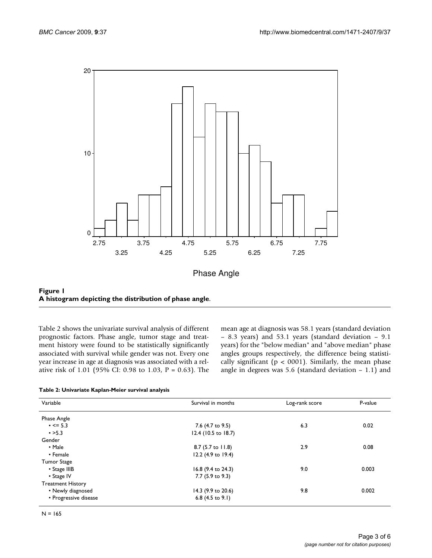

Phase Angle

Figure 1 **A histogram depicting the distribution of phase angle**.

Table 2 shows the univariate survival analysis of different prognostic factors. Phase angle, tumor stage and treatment history were found to be statistically significantly associated with survival while gender was not. Every one year increase in age at diagnosis was associated with a relative risk of 1.01 (95% CI: 0.98 to 1.03, P = 0.63). The mean age at diagnosis was 58.1 years (standard deviation – 8.3 years) and 53.1 years (standard deviation – 9.1 years) for the "below median" and "above median" phase angles groups respectively, the difference being statistically significant ( $p < 0001$ ). Similarly, the mean phase angle in degrees was 5.6 (standard deviation – 1.1) and

|  | Table 2: Univariate Kaplan-Meier survival analysis |  |
|--|----------------------------------------------------|--|
|  |                                                    |  |

| Survival in months          | Log-rank score     | P-value |
|-----------------------------|--------------------|---------|
|                             |                    |         |
| 7.6 (4.7 to 9.5)            | 6.3                | 0.02    |
| 12.4 (10.5 to 18.7)         |                    |         |
|                             |                    |         |
| 8.7 (5.7 to 11.8)           | 2.9                | 0.08    |
| 12.2 (4.9 to 19.4)          |                    |         |
|                             |                    |         |
|                             | 9.0                | 0.003   |
| 7.7 (5.9 to 9.3)            |                    |         |
|                             |                    |         |
| 14.3 (9.9 to 20.6)          | 9.8                | 0.002   |
| 6.8 $(4.5 \text{ to } 9.1)$ |                    |         |
|                             | 16.8 (9.4 to 24.3) |         |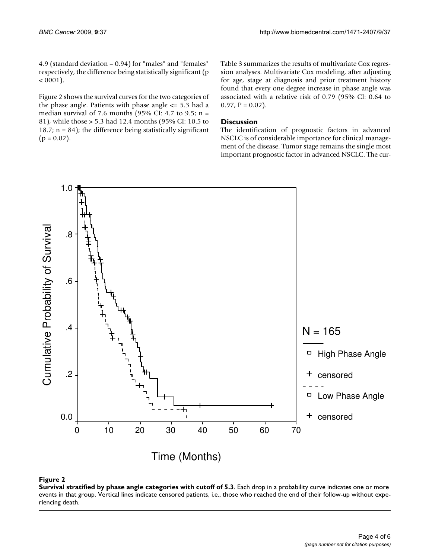4.9 (standard deviation – 0.94) for "males" and "females" respectively, the difference being statistically significant (p  $< 0001$ ).

Figure 2 shows the survival curves for the two categories of the phase angle. Patients with phase angle  $\leq$  5.3 had a median survival of 7.6 months (95% CI: 4.7 to 9.5;  $n =$ 81), while those > 5.3 had 12.4 months (95% CI: 10.5 to 18.7;  $n = 84$ ); the difference being statistically significant  $(p = 0.02)$ .

Table 3 summarizes the results of multivariate Cox regression analyses. Multivariate Cox modeling, after adjusting for age, stage at diagnosis and prior treatment history found that every one degree increase in phase angle was associated with a relative risk of 0.79 (95% CI: 0.64 to  $0.97, P = 0.02$ ).

#### **Discussion**

The identification of prognostic factors in advanced NSCLC is of considerable importance for clinical management of the disease. Tumor stage remains the single most important prognostic factor in advanced NSCLC. The cur-



#### Figure 2

**Survival stratified by phase angle categories with cutoff of 5.3**. Each drop in a probability curve indicates one or more events in that group. Vertical lines indicate censored patients, i.e., those who reached the end of their follow-up without experiencing death.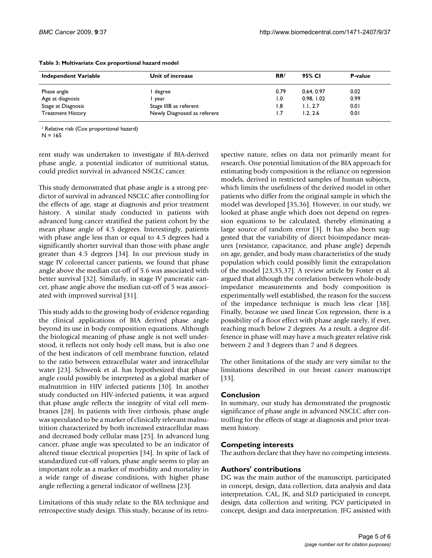| <b>Independent Variable</b> | Unit of increase            | RR <sup>1</sup>  | 95% CI     | P-value |
|-----------------------------|-----------------------------|------------------|------------|---------|
| Phase angle                 | degree                      | 0.79             | 0.64, 0.97 | 0.02    |
| Age at diagnosis            | year                        | $\overline{0}$ . | 0.98.1.02  | 0.99    |
| Stage at Diagnosis          | Stage IIIB as referent      | 8.،              | 1.1.2.7    | 0.01    |
| <b>Treatment History</b>    | Newly Diagnosed as referent | 1.7              | 1.2.2.6    | 0.01    |

#### **Table 3: Multivariate Cox proportional hazard model**

*<sup>1</sup>*Relative risk (Cox proportional hazard)

 $N = 165$ 

rent study was undertaken to investigate if BIA-derived phase angle, a potential indicator of nutritional status, could predict survival in advanced NSCLC cancer.

This study demonstrated that phase angle is a strong predictor of survival in advanced NSCLC after controlling for the effects of age, stage at diagnosis and prior treatment history. A similar study conducted in patients with advanced lung cancer stratified the patient cohort by the mean phase angle of 4.5 degrees. Interestingly, patients with phase angle less than or equal to 4.5 degrees had a significantly shorter survival than those with phase angle greater than 4.5 degrees [34]. In our previous study in stage IV colorectal cancer patients, we found that phase angle above the median cut-off of 5.6 was associated with better survival [32]. Similarly, in stage IV pancreatic cancer, phase angle above the median cut-off of 5 was associated with improved survival [31].

This study adds to the growing body of evidence regarding the clinical applications of BIA derived phase angle beyond its use in body composition equations. Although the biological meaning of phase angle is not well understood, it reflects not only body cell mass, but is also one of the best indicators of cell membrane function, related to the ratio between extracellular water and intracellular water [23]. Schwenk et al. has hypothesized that phase angle could possibly be interpreted as a global marker of malnutrition in HIV infected patients [30]. In another study conducted on HIV-infected patients, it was argued that phase angle reflects the integrity of vital cell membranes [28]. In patients with liver cirrhosis, phase angle was speculated to be a marker of clinically relevant malnutrition characterized by both increased extracellular mass and decreased body cellular mass [25]. In advanced lung cancer, phase angle was speculated to be an indicator of altered tissue electrical properties [34]. In spite of lack of standardized cut-off values, phase angle seems to play an important role as a marker of morbidity and mortality in a wide range of disease conditions, with higher phase angle reflecting a general indicator of wellness [23].

Limitations of this study relate to the BIA technique and retrospective study design. This study, because of its retrospective nature, relies on data not primarily meant for research. One potential limitation of the BIA approach for estimating body composition is the reliance on regression models, derived in restricted samples of human subjects, which limits the usefulness of the derived model in other patients who differ from the original sample in which the model was developed [35,36]. However, in our study, we looked at phase angle which does not depend on regression equations to be calculated, thereby eliminating a large source of random error [3]. It has also been suggested that the variability of direct bioimpedance measures (resistance, capacitance, and phase angle) depends on age, gender, and body mass characteristics of the study population which could possibly limit the extrapolation of the model [23,35,37]. A review article by Foster et al. argued that although the correlation between whole-body impedance measurements and body composition is experimentally well established, the reason for the success of the impedance technique is much less clear [38]. Finally, because we used linear Cox regression, there is a possibility of a floor effect with phase angle rarely, if ever, reaching much below 2 degrees. As a result, a degree difference in phase will may have a much greater relative risk between 2 and 3 degrees than 7 and 8 degrees.

The other limitations of the study are very similar to the limitations described in our breast cancer manuscript [33].

### **Conclusion**

In summary, our study has demonstrated the prognostic significance of phase angle in advanced NSCLC after controlling for the effects of stage at diagnosis and prior treatment history.

### **Competing interests**

The authors declare that they have no competing interests.

### **Authors' contributions**

DG was the main author of the manuscript, participated in concept, design, data collection, data analysis and data interpretation. CAL, JK, and SLD participated in concept, design, data collection and writing. PGV participated in concept, design and data interpretation. JFG assisted with